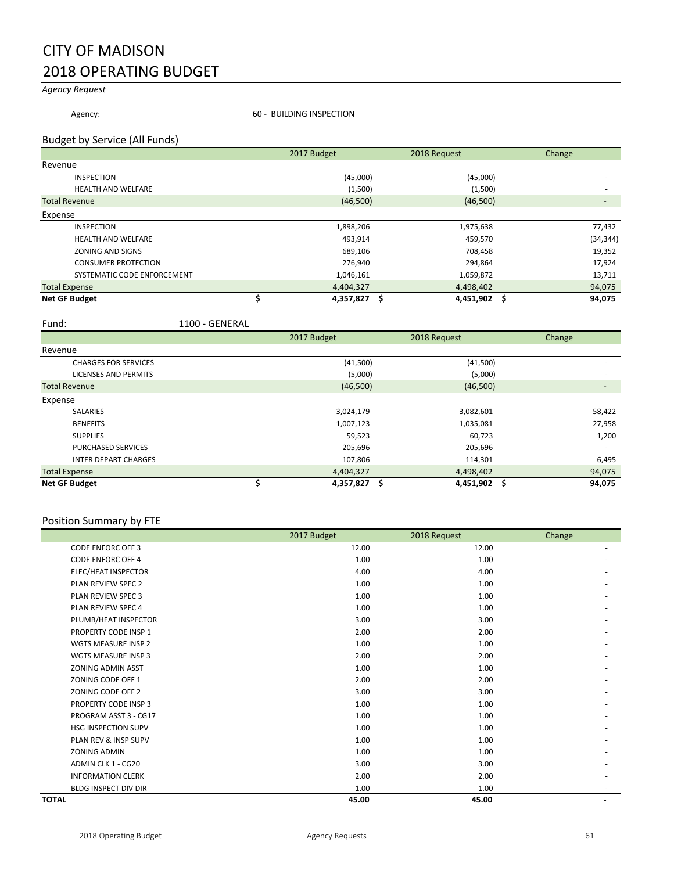### CITY OF MADISON 2018 OPERATING BUDGET

#### *Agency Request*

Agency: **60 - BUILDING INSPECTION** 

#### Budget by Service (All Funds)

|                             | 2017 Budget | 2018 Request         | Change                   |
|-----------------------------|-------------|----------------------|--------------------------|
| Revenue                     |             |                      |                          |
| <b>INSPECTION</b>           | (45,000)    | (45,000)             |                          |
| <b>HEALTH AND WELFARE</b>   | (1,500)     | (1,500)              | $\overline{\phantom{a}}$ |
| <b>Total Revenue</b>        | (46,500)    | (46,500)             |                          |
| Expense                     |             |                      |                          |
| <b>INSPECTION</b>           | 1,898,206   | 1,975,638            | 77,432                   |
| <b>HEALTH AND WELFARE</b>   | 493,914     | 459,570              | (34, 344)                |
| ZONING AND SIGNS            | 689,106     | 708,458              | 19,352                   |
| <b>CONSUMER PROTECTION</b>  | 276,940     | 294,864              | 17,924                   |
| SYSTEMATIC CODE ENFORCEMENT | 1,046,161   | 1,059,872            | 13,711                   |
| <b>Total Expense</b>        | 4,404,327   | 4,498,402            | 94,075                   |
| <b>Net GF Budget</b>        | 4,357,827   | $4,451,902$ \$<br>.s | 94,075                   |

Fund: 1100 - GENERAL

|                             | 2017 Budget | 2018 Request         | Change                   |
|-----------------------------|-------------|----------------------|--------------------------|
| Revenue                     |             |                      |                          |
| <b>CHARGES FOR SERVICES</b> | (41,500)    | (41,500)             |                          |
| <b>LICENSES AND PERMITS</b> | (5,000)     | (5,000)              |                          |
| <b>Total Revenue</b>        | (46,500)    | (46,500)             | $\overline{\phantom{a}}$ |
| Expense                     |             |                      |                          |
| <b>SALARIES</b>             | 3,024,179   | 3,082,601            | 58,422                   |
| <b>BENEFITS</b>             | 1,007,123   | 1,035,081            | 27,958                   |
| <b>SUPPLIES</b>             | 59,523      | 60,723               | 1,200                    |
| <b>PURCHASED SERVICES</b>   | 205,696     | 205,696              |                          |
| <b>INTER DEPART CHARGES</b> | 107,806     | 114,301              | 6,495                    |
| <b>Total Expense</b>        | 4,404,327   | 4,498,402            | 94,075                   |
| <b>Net GF Budget</b>        | 4,357,827   | 4,451,902 \$<br>- \$ | 94,075                   |

| Position Summary by FTE     |             |              |        |
|-----------------------------|-------------|--------------|--------|
|                             | 2017 Budget | 2018 Request | Change |
| <b>CODE ENFORC OFF 3</b>    | 12.00       | 12.00        |        |
| <b>CODE ENFORC OFF 4</b>    | 1.00        | 1.00         |        |
| ELEC/HEAT INSPECTOR         | 4.00        | 4.00         |        |
| <b>PLAN REVIEW SPEC 2</b>   | 1.00        | 1.00         |        |
| <b>PLAN REVIEW SPEC 3</b>   | 1.00        | 1.00         |        |
| PLAN REVIEW SPEC 4          | 1.00        | 1.00         |        |
| PLUMB/HEAT INSPECTOR        | 3.00        | 3.00         |        |
| PROPERTY CODE INSP 1        | 2.00        | 2.00         |        |
| <b>WGTS MEASURE INSP 2</b>  | 1.00        | 1.00         |        |
| <b>WGTS MEASURE INSP 3</b>  | 2.00        | 2.00         |        |
| <b>ZONING ADMIN ASST</b>    | 1.00        | 1.00         |        |
| ZONING CODE OFF 1           | 2.00        | 2.00         |        |
| ZONING CODE OFF 2           | 3.00        | 3.00         |        |
| PROPERTY CODE INSP 3        | 1.00        | 1.00         |        |
| PROGRAM ASST 3 - CG17       | 1.00        | 1.00         |        |
| <b>HSG INSPECTION SUPV</b>  | 1.00        | 1.00         |        |
| PLAN REV & INSP SUPV        | 1.00        | 1.00         |        |
| <b>ZONING ADMIN</b>         | 1.00        | 1.00         |        |
| ADMIN CLK 1 - CG20          | 3.00        | 3.00         |        |
| <b>INFORMATION CLERK</b>    | 2.00        | 2.00         |        |
| <b>BLDG INSPECT DIV DIR</b> | 1.00        | 1.00         |        |
| <b>TOTAL</b>                | 45.00       | 45.00        |        |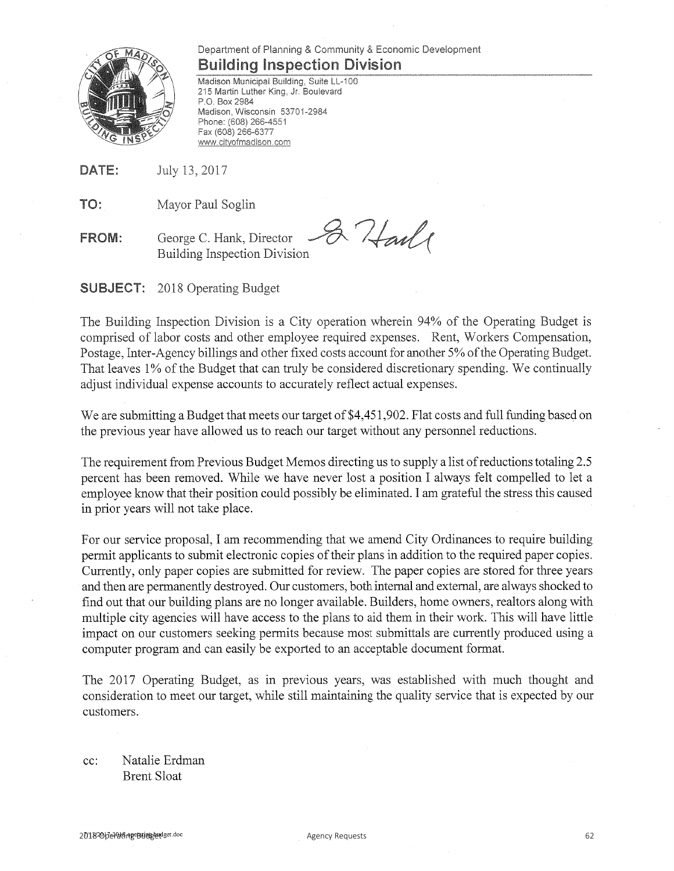

### Department of Planning & Community & Economic Development **Building Inspection Division**

Madison Municipal Building, Suite LL-100 215 Martin Luther King, Jr. Boulevard P.O. Box 2984 Madison, Wisconsin 53701-2984 Phone: (608) 266-4551 Fax (608) 266-6377 www.cityofmadison.com

DATE: July 13, 2017

TO: Mayor Paul Soglin

& Harle George C. Hank, Director **FROM: Building Inspection Division** 

**SUBJECT:** 2018 Operating Budget

The Building Inspection Division is a City operation wherein 94% of the Operating Budget is comprised of labor costs and other employee required expenses. Rent, Workers Compensation, Postage, Inter-Agency billings and other fixed costs account for another 5% of the Operating Budget. That leaves 1% of the Budget that can truly be considered discretionary spending. We continually adjust individual expense accounts to accurately reflect actual expenses.

We are submitting a Budget that meets our target of \$4,451,902. Flat costs and full funding based on the previous year have allowed us to reach our target without any personnel reductions.

The requirement from Previous Budget Memos directing us to supply a list of reductions totaling 2.5 percent has been removed. While we have never lost a position I always felt compelled to let a employee know that their position could possibly be eliminated. I am grateful the stress this caused in prior years will not take place.

For our service proposal, I am recommending that we amend City Ordinances to require building permit applicants to submit electronic copies of their plans in addition to the required paper copies. Currently, only paper copies are submitted for review. The paper copies are stored for three years and then are permanently destroyed. Our customers, both internal and external, are always shocked to find out that our building plans are no longer available. Builders, home owners, realtors along with multiple city agencies will have access to the plans to aid them in their work. This will have little impact on our customers seeking permits because most submittals are currently produced using a computer program and can easily be exported to an acceptable document format.

The 2017 Operating Budget, as in previous years, was established with much thought and consideration to meet our target, while still maintaining the quality service that is expected by our customers.

Natalie Erdman  $cc$ : **Brent Sloat**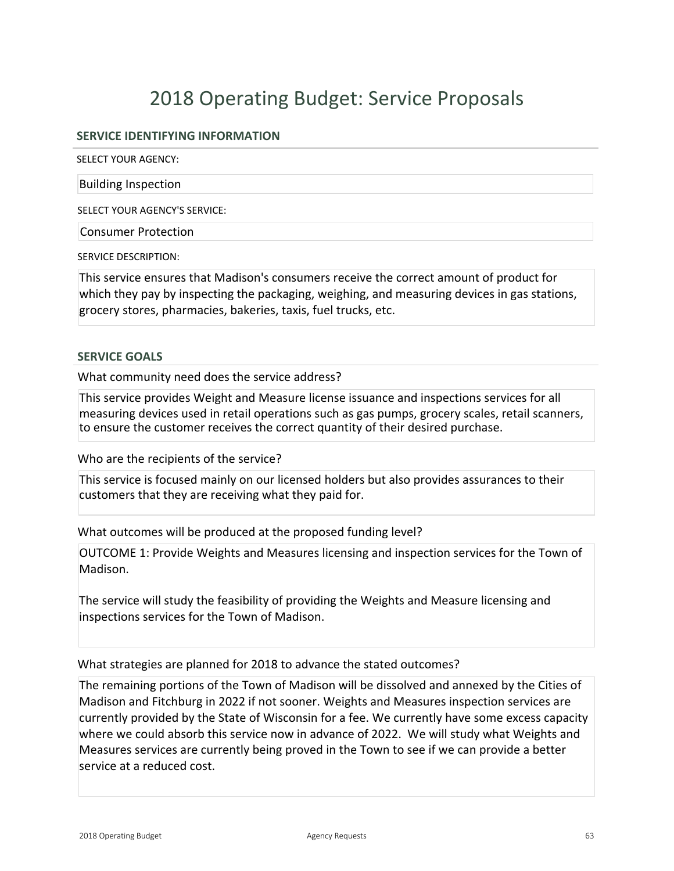#### **SERVICE IDENTIFYING INFORMATION**

SELECT YOUR AGENCY:

Building Inspection

SELECT YOUR AGENCY'S SERVICE:

Consumer Protection

SERVICE DESCRIPTION:

This service ensures that Madison's consumers receive the correct amount of product for which they pay by inspecting the packaging, weighing, and measuring devices in gas stations, grocery stores, pharmacies, bakeries, taxis, fuel trucks, etc.

#### **SERVICE GOALS**

What community need does the service address?

This service provides Weight and Measure license issuance and inspections services for all measuring devices used in retail operations such as gas pumps, grocery scales, retail scanners, to ensure the customer receives the correct quantity of their desired purchase.

Who are the recipients of the service?

This service is focused mainly on our licensed holders but also provides assurances to their customers that they are receiving what they paid for.

What outcomes will be produced at the proposed funding level?

OUTCOME 1: Provide Weights and Measures licensing and inspection services for the Town of Madison.

The service will study the feasibility of providing the Weights and Measure licensing and inspections services for the Town of Madison.

What strategies are planned for 2018 to advance the stated outcomes?

The remaining portions of the Town of Madison will be dissolved and annexed by the Cities of Madison and Fitchburg in 2022 if not sooner. Weights and Measures inspection services are currently provided by the State of Wisconsin for a fee. We currently have some excess capacity where we could absorb this service now in advance of 2022. We will study what Weights and Measures services are currently being proved in the Town to see if we can provide a better service at a reduced cost.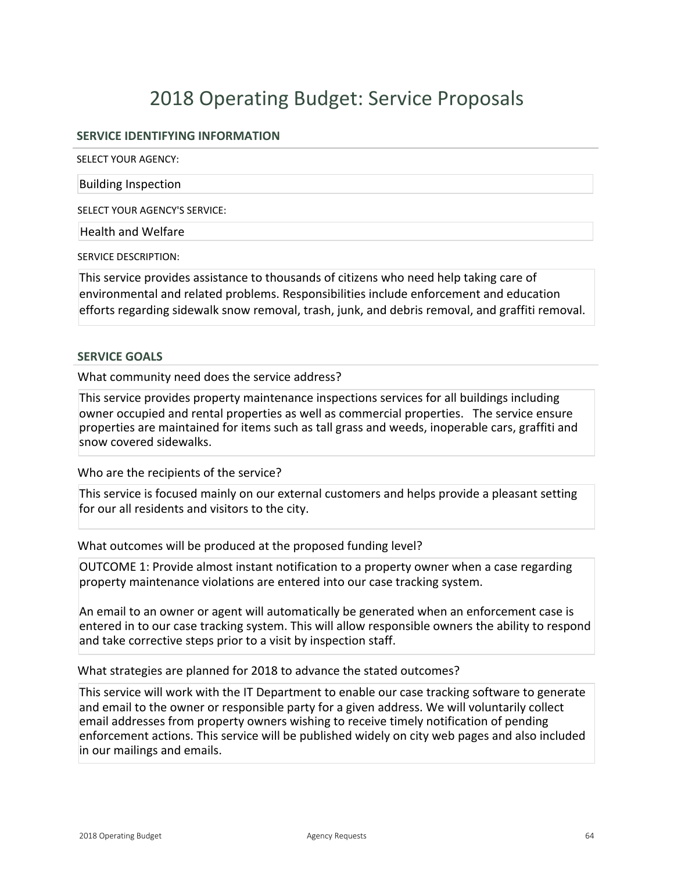#### **SERVICE IDENTIFYING INFORMATION**

SELECT YOUR AGENCY:

Building Inspection

SELECT YOUR AGENCY'S SERVICE:

Health and Welfare

SERVICE DESCRIPTION:

This service provides assistance to thousands of citizens who need help taking care of environmental and related problems. Responsibilities include enforcement and education efforts regarding sidewalk snow removal, trash, junk, and debris removal, and graffiti removal.

#### **SERVICE GOALS**

What community need does the service address?

This service provides property maintenance inspections services for all buildings including owner occupied and rental properties as well as commercial properties. The service ensure properties are maintained for items such as tall grass and weeds, inoperable cars, graffiti and snow covered sidewalks.

Who are the recipients of the service?

This service is focused mainly on our external customers and helps provide a pleasant setting for our all residents and visitors to the city.

What outcomes will be produced at the proposed funding level?

OUTCOME 1: Provide almost instant notification to a property owner when a case regarding property maintenance violations are entered into our case tracking system.

An email to an owner or agent will automatically be generated when an enforcement case is entered in to our case tracking system. This will allow responsible owners the ability to respond and take corrective steps prior to a visit by inspection staff.

What strategies are planned for 2018 to advance the stated outcomes?

This service will work with the IT Department to enable our case tracking software to generate and email to the owner or responsible party for a given address. We will voluntarily collect email addresses from property owners wishing to receive timely notification of pending enforcement actions. This service will be published widely on city web pages and also included in our mailings and emails.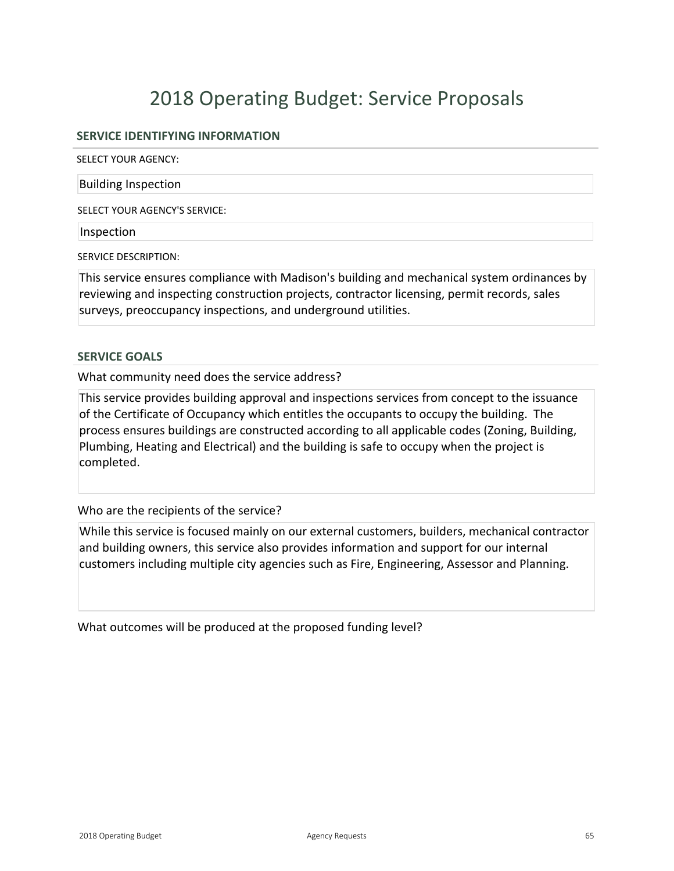#### **SERVICE IDENTIFYING INFORMATION**

SELECT YOUR AGENCY:

Building Inspection

SELECT YOUR AGENCY'S SERVICE:

Inspection

SERVICE DESCRIPTION:

This service ensures compliance with Madison's building and mechanical system ordinances by reviewing and inspecting construction projects, contractor licensing, permit records, sales surveys, preoccupancy inspections, and underground utilities.

#### **SERVICE GOALS**

What community need does the service address?

This service provides building approval and inspections services from concept to the issuance of the Certificate of Occupancy which entitles the occupants to occupy the building. The process ensures buildings are constructed according to all applicable codes (Zoning, Building, Plumbing, Heating and Electrical) and the building is safe to occupy when the project is completed.

Who are the recipients of the service?

While this service is focused mainly on our external customers, builders, mechanical contractor and building owners, this service also provides information and support for our internal customers including multiple city agencies such as Fire, Engineering, Assessor and Planning.

What outcomes will be produced at the proposed funding level?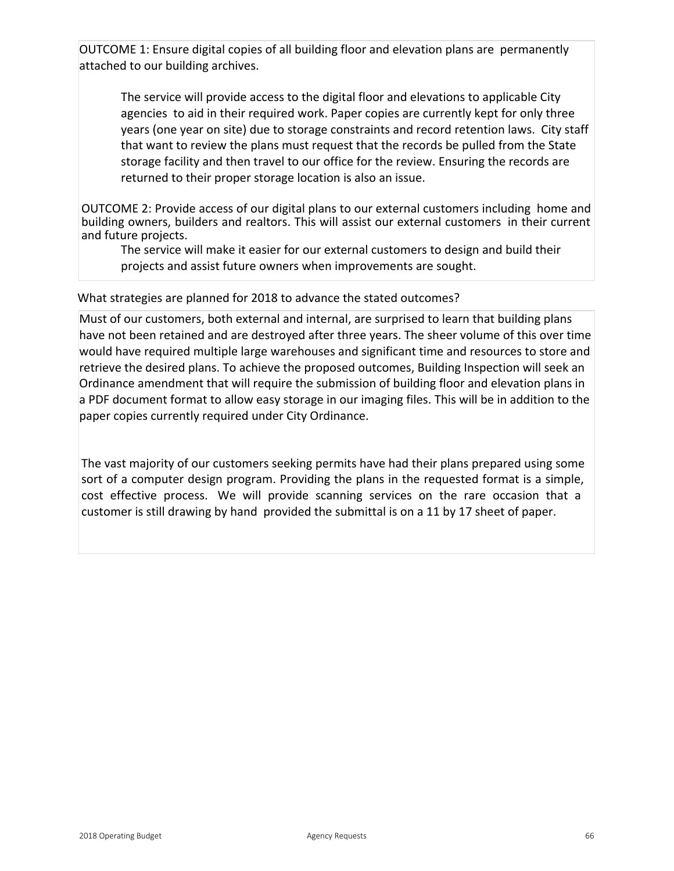OUTCOME 1: Ensure digital copies of all building floor and elevation plans are permanently attached to our building archives.

The service will provide access to the digital floor and elevations to applicable City agencies to aid in their required work. Paper copies are currently kept for only three years (one year on site) due to storage constraints and record retention laws. City staff that want to review the plans must request that the records be pulled from the State storage facility and then travel to our office for the review. Ensuring the records are returned to their proper storage location is also an issue.

OUTCOME 2: Provide access of our digital plans to our external customers including home and building owners, builders and realtors. This will assist our external customers in their current and future projects.

The service will make it easier for our external customers to design and build their projects and assist future owners when improvements are sought.

#### What strategies are planned for 2018 to advance the stated outcomes?

Must of our customers, both external and internal, are surprised to learn that building plans have not been retained and are destroyed after three years. The sheer volume of this over time would have required multiple large warehouses and significant time and resources to store and retrieve the desired plans. To achieve the proposed outcomes, Building Inspection will seek an Ordinance amendment that will require the submission of building floor and elevation plans in a PDF document format to allow easy storage in our imaging files. This will be in addition to the paper copies currently required under City Ordinance.

The vast majority of our customers seeking permits have had their plans prepared using some sort of a computer design program. Providing the plans in the requested format is a simple, cost effective process. We will provide scanning services on the rare occasion that a customer is still drawing by hand provided the submittal is on a 11 by 17 sheet of paper.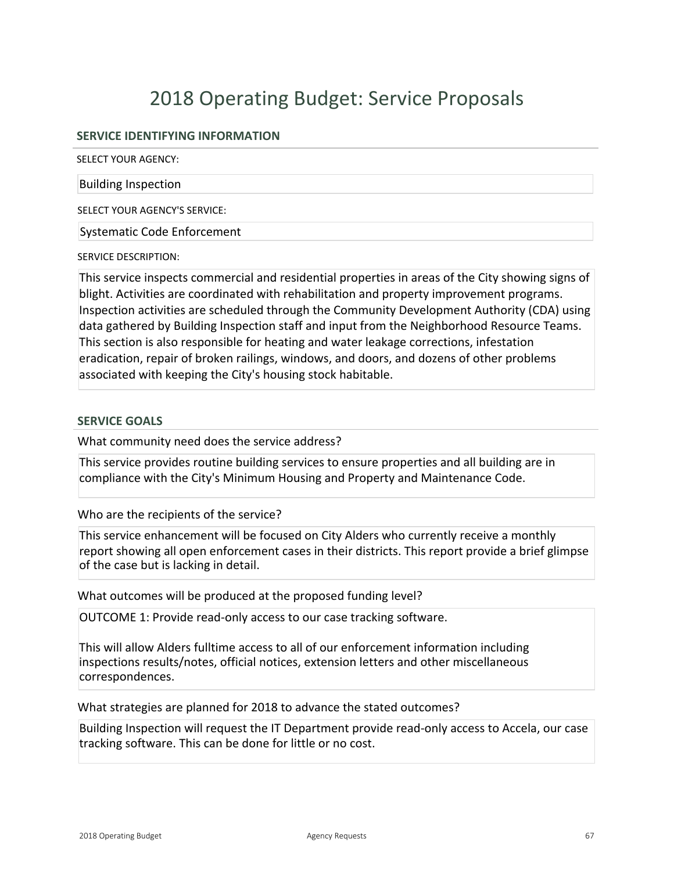#### **SERVICE IDENTIFYING INFORMATION**

SELECT YOUR AGENCY:

#### Building Inspection

SELECT YOUR AGENCY'S SERVICE:

Systematic Code Enforcement

SERVICE DESCRIPTION:

This service inspects commercial and residential properties in areas of the City showing signs of blight. Activities are coordinated with rehabilitation and property improvement programs. Inspection activities are scheduled through the Community Development Authority (CDA) using data gathered by Building Inspection staff and input from the Neighborhood Resource Teams. This section is also responsible for heating and water leakage corrections, infestation eradication, repair of broken railings, windows, and doors, and dozens of other problems associated with keeping the City's housing stock habitable.

#### **SERVICE GOALS**

What community need does the service address?

This service provides routine building services to ensure properties and all building are in compliance with the City's Minimum Housing and Property and Maintenance Code.

Who are the recipients of the service?

This service enhancement will be focused on City Alders who currently receive a monthly report showing all open enforcement cases in their districts. This report provide a brief glimpse of the case but is lacking in detail.

What outcomes will be produced at the proposed funding level?

OUTCOME 1: Provide read-only access to our case tracking software.

This will allow Alders fulltime access to all of our enforcement information including inspections results/notes, official notices, extension letters and other miscellaneous correspondences.

What strategies are planned for 2018 to advance the stated outcomes?

Building Inspection will request the IT Department provide read-only access to Accela, our case tracking software. This can be done for little or no cost.